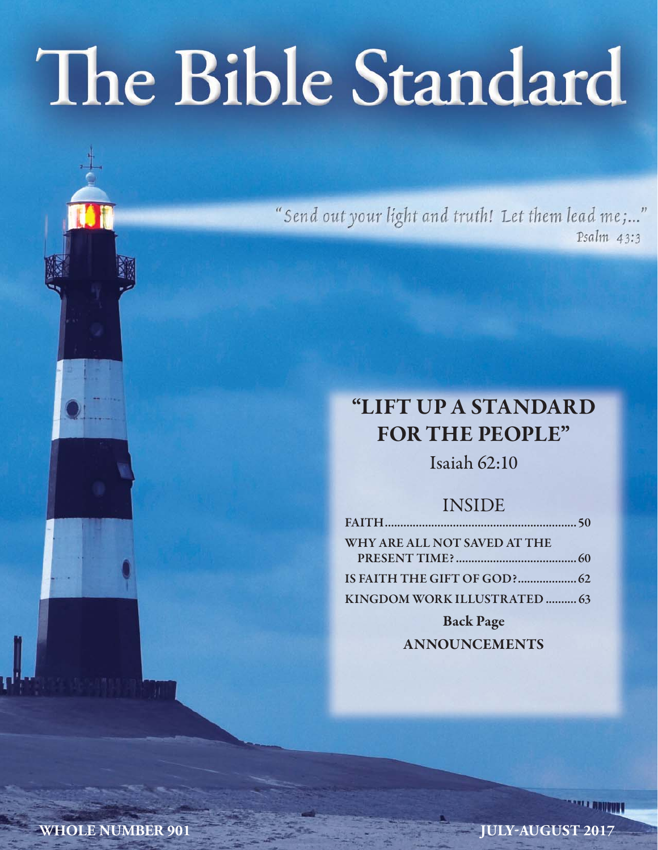# The Bible Standard

"Send out your light and truth! Let them lead me;..." Psalm 43:3

# **"LIFT UP A STANDARD FOR THE PEOPLE"**

Isaiah 62:10

# INSIDE

| WHY ARE ALL NOT SAVED AT THE |  |
|------------------------------|--|
|                              |  |
|                              |  |
| KINGDOM WORK ILLUSTRATED  63 |  |

**Back Page ANNOUNCEMENTS**

**WHOLE NUMBER 901** JULY-AUGUST 2017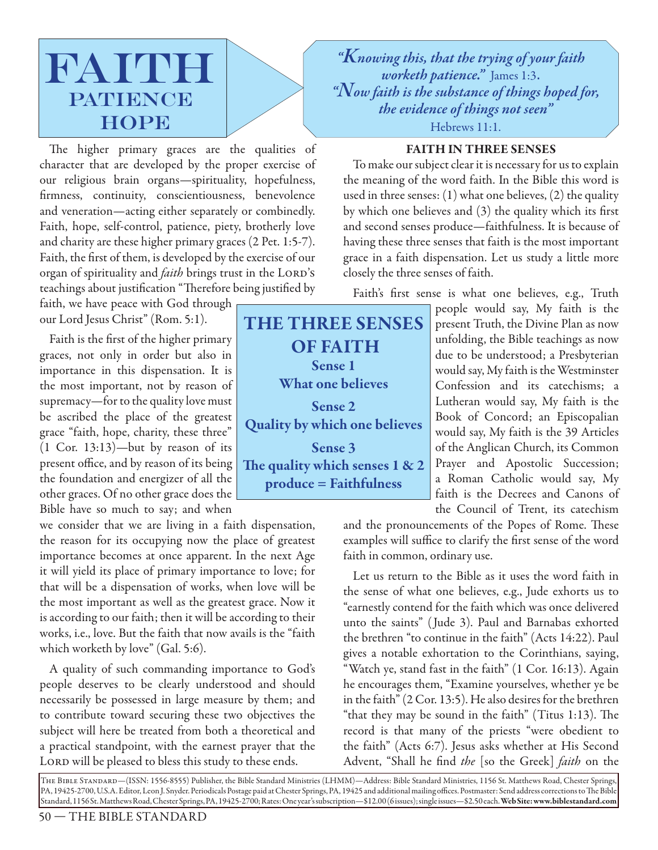

The higher primary graces are the qualities of character that are developed by the proper exercise of our religious brain organs—spirituality, hopefulness, firmness, continuity, conscientiousness, benevolence and veneration—acting either separately or combinedly. Faith, hope, self-control, patience, piety, brotherly love and charity are these higher primary graces (2 Pet. 1:5-7). Faith, the first of them, is developed by the exercise of our organ of spirituality and *faith* brings trust in the LORD's teachings about justification "Therefore being justified by

faith, we have peace with God through our Lord Jesus Christ" (Rom. 5:1).

Faith is the first of the higher primary graces, not only in order but also in importance in this dispensation. It is the most important, not by reason of supremacy—for to the quality love must be ascribed the place of the greatest grace "faith, hope, charity, these three" (1 Cor. 13:13)—but by reason of its present office, and by reason of its being the foundation and energizer of all the other graces. Of no other grace does the Bible have so much to say; and when

we consider that we are living in a faith dispensation, the reason for its occupying now the place of greatest importance becomes at once apparent. In the next Age it will yield its place of primary importance to love; for that will be a dispensation of works, when love will be the most important as well as the greatest grace. Now it is according to our faith; then it will be according to their works, i.e., love. But the faith that now avails is the "faith which worketh by love" (Gal. 5:6).

A quality of such commanding importance to God's people deserves to be clearly understood and should necessarily be possessed in large measure by them; and to contribute toward securing these two objectives the subject will here be treated from both a theoretical and a practical standpoint, with the earnest prayer that the LORD will be pleased to bless this study to these ends.

**THE THREE SENSES OF FAITH Sense 1 What one believes Sense 2 Quality by which one believes Sense 3** The quality which senses 1 & 2 **produce = Faithfulness**

*"Knowing this, that the trying of your faith worketh patience."* James 1:3. *"Now faith is the substance of things hoped for, the evidence of things not seen"*  Hebrews 11:1.

# **FAITH IN THREE SENSES**

To make our subject clear it is necessary for us to explain the meaning of the word faith. In the Bible this word is used in three senses: (1) what one believes, (2) the quality by which one believes and  $(3)$  the quality which its first and second senses produce—faithfulness. It is because of having these three senses that faith is the most important grace in a faith dispensation. Let us study a little more closely the three senses of faith.

Faith's first sense is what one believes, e.g., Truth

people would say, My faith is the present Truth, the Divine Plan as now unfolding, the Bible teachings as now due to be understood; a Presbyterian would say, My faith is the Westminster Confession and its catechisms; a Lutheran would say, My faith is the Book of Concord; an Episcopalian would say, My faith is the 39 Articles of the Anglican Church, its Common Prayer and Apostolic Succession; a Roman Catholic would say, My faith is the Decrees and Canons of the Council of Trent, its catechism

and the pronouncements of the Popes of Rome. These examples will suffice to clarify the first sense of the word faith in common, ordinary use.

Let us return to the Bible as it uses the word faith in the sense of what one believes, e.g., Jude exhorts us to "earnestly contend for the faith which was once delivered unto the saints" ( Jude 3). Paul and Barnabas exhorted the brethren "to continue in the faith" (Acts 14:22). Paul gives a notable exhortation to the Corinthians, saying, "Watch ye, stand fast in the faith" (1 Cor. 16:13). Again he encourages them, "Examine yourselves, whether ye be in the faith" (2 Cor. 13:5). He also desires for the brethren "that they may be sound in the faith" (Titus  $1:13$ ). The record is that many of the priests "were obedient to the faith" (Acts 6:7). Jesus asks whether at His Second Advent, "Shall he find the [so the Greek] faith on the

The Bible Standard—(ISSN: 1556-8555) Publisher, the Bible Standard Ministries (LHMM)—Address: Bible Standard Ministries, 1156 St. Matthews Road, Chester Springs, PA, 19425-2700, U.S.A. Editor, Leon J. Snyder. Periodicals Postage paid at Chester Springs, PA, 19425 and additional mailing offices. Postmaster: Send address corrections to The Bible Standard, 1156 St. Matthews Road, Chester Springs, PA, 19425-2700; Rates: One year's subscription—\$12.00 (6 issues); single issues—\$2.50 each. **Web Site: www.biblestandard.com**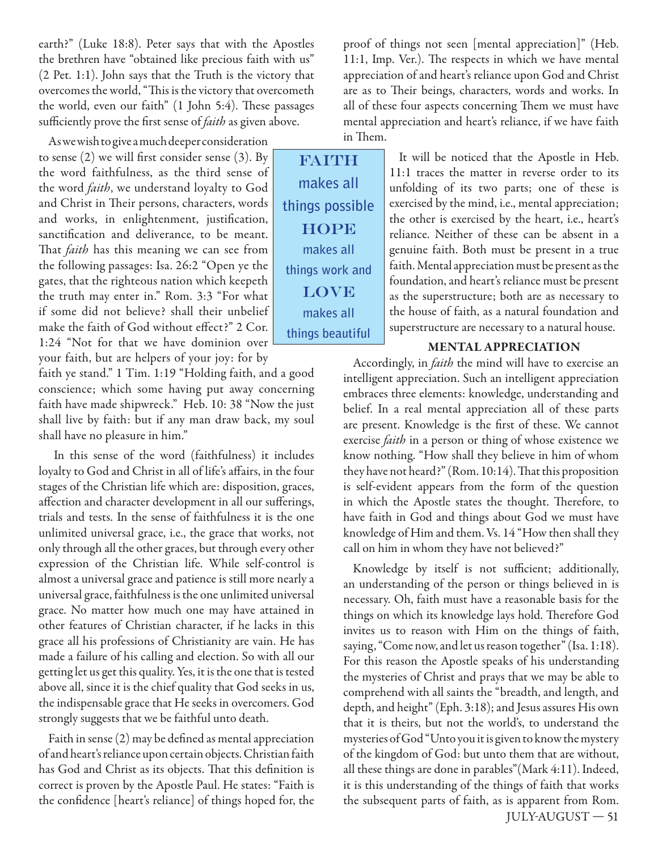earth?" (Luke 18:8). Peter says that with the Apostles the brethren have "obtained like precious faith with us" (2 Pet. 1:1). John says that the Truth is the victory that overcomes the world, "This is the victory that overcometh the world, even our faith" (1 John 5:4). These passages sufficiently prove the first sense of *faith* as given above.

As we wish to give a much deeper consideration to sense  $(2)$  we will first consider sense  $(3)$ . By the word faithfulness, as the third sense of the word *faith*, we understand loyalty to God and Christ in Their persons, characters, words and works, in enlightenment, justification, sanctification and deliverance, to be meant. That *faith* has this meaning we can see from the following passages: Isa. 26:2 "Open ye the gates, that the righteous nation which keepeth the truth may enter in." Rom. 3:3 "For what if some did not believe? shall their unbelief make the faith of God without effect?" 2 Cor. 1:24 "Not for that we have dominion over your faith, but are helpers of your joy: for by

faith ye stand." 1 Tim. 1:19 "Holding faith, and a good conscience; which some having put away concerning faith have made shipwreck." Heb. 10: 38 "Now the just shall live by faith: but if any man draw back, my soul shall have no pleasure in him."

 In this sense of the word (faithfulness) it includes loyalty to God and Christ in all of life's affairs, in the four stages of the Christian life which are: disposition, graces, affection and character development in all our sufferings, trials and tests. In the sense of faithfulness it is the one unlimited universal grace, i.e., the grace that works, not only through all the other graces, but through every other expression of the Christian life. While self-control is almost a universal grace and patience is still more nearly a universal grace, faithfulness is the one unlimited universal grace. No matter how much one may have attained in other features of Christian character, if he lacks in this grace all his professions of Christianity are vain. He has made a failure of his calling and election. So with all our getting let us get this quality. Yes, it is the one that is tested above all, since it is the chief quality that God seeks in us, the indispensable grace that He seeks in overcomers. God strongly suggests that we be faithful unto death.

Faith in sense  $(2)$  may be defined as mental appreciation of and heart's reliance upon certain objects. Christian faith has God and Christ as its objects. That this definition is correct is proven by the Apostle Paul. He states: "Faith is the confidence [heart's reliance] of things hoped for, the proof of things not seen [mental appreciation]" (Heb.  $11:1$ , Imp. Ver.). The respects in which we have mental appreciation of and heart's reliance upon God and Christ are as to Their beings, characters, words and works. In all of these four aspects concerning Them we must have mental appreciation and heart's reliance, if we have faith in Them.

**FAITH makes all things possible HOPE makes all things work and LOVE makes all things beautiful**

It will be noticed that the Apostle in Heb. 11:1 traces the matter in reverse order to its unfolding of its two parts; one of these is exercised by the mind, i.e., mental appreciation; the other is exercised by the heart, i.e., heart's reliance. Neither of these can be absent in a genuine faith. Both must be present in a true faith. Mental appreciation must be present as the foundation, and heart's reliance must be present as the superstructure; both are as necessary to the house of faith, as a natural foundation and superstructure are necessary to a natural house.

#### **MENTAL APPRECIATION**

Accordingly, in *faith* the mind will have to exercise an intelligent appreciation. Such an intelligent appreciation embraces three elements: knowledge, understanding and belief. In a real mental appreciation all of these parts are present. Knowledge is the first of these. We cannot exercise *faith* in a person or thing of whose existence we know nothing. "How shall they believe in him of whom they have not heard?" (Rom.  $10:14$ ). That this proposition is self-evident appears from the form of the question in which the Apostle states the thought. Therefore, to have faith in God and things about God we must have knowledge of Him and them. Vs. 14 "How then shall they call on him in whom they have not believed?"

 JULY-AUGUST — 51 Knowledge by itself is not sufficient; additionally, an understanding of the person or things believed in is necessary. Oh, faith must have a reasonable basis for the things on which its knowledge lays hold. Therefore God invites us to reason with Him on the things of faith, saying, "Come now, and let us reason together" (Isa. 1:18). For this reason the Apostle speaks of his understanding the mysteries of Christ and prays that we may be able to comprehend with all saints the "breadth, and length, and depth, and height" (Eph. 3:18); and Jesus assures His own that it is theirs, but not the world's, to understand the mysteries of God "Unto you it is given to know the mystery of the kingdom of God: but unto them that are without, all these things are done in parables"(Mark 4:11). Indeed, it is this understanding of the things of faith that works the subsequent parts of faith, as is apparent from Rom.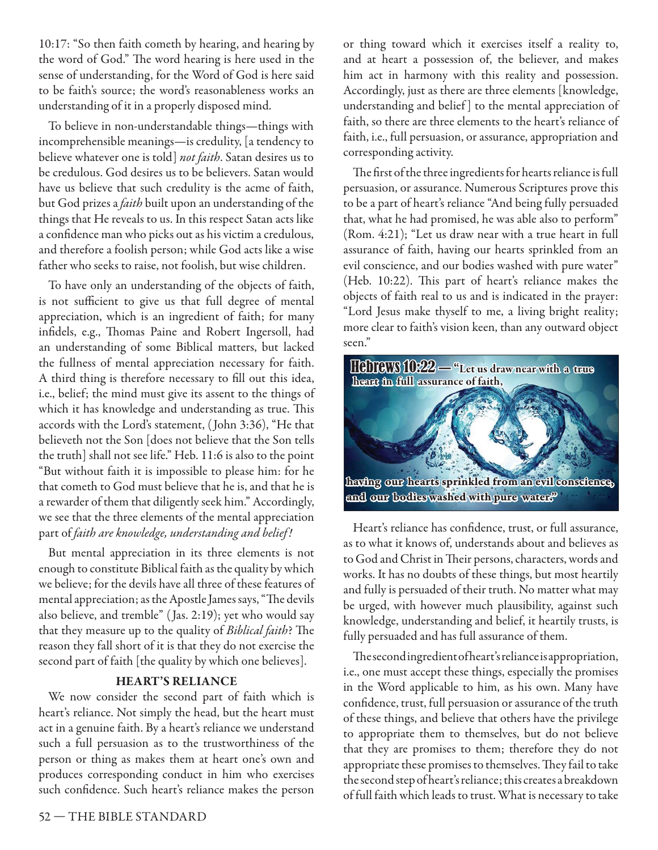10:17: "So then faith cometh by hearing, and hearing by the word of God." The word hearing is here used in the sense of understanding, for the Word of God is here said to be faith's source; the word's reasonableness works an understanding of it in a properly disposed mind.

To believe in non-understandable things—things with incomprehensible meanings—is credulity, [a tendency to believe whatever one is told] not faith. Satan desires us to be credulous. God desires us to be believers. Satan would have us believe that such credulity is the acme of faith, but God prizes a *faith* built upon an understanding of the things that He reveals to us. In this respect Satan acts like a confidence man who picks out as his victim a credulous, and therefore a foolish person; while God acts like a wise father who seeks to raise, not foolish, but wise children.

To have only an understanding of the objects of faith, is not sufficient to give us that full degree of mental appreciation, which is an ingredient of faith; for many infidels, e.g., Thomas Paine and Robert Ingersoll, had an understanding of some Biblical matters, but lacked the fullness of mental appreciation necessary for faith. A third thing is therefore necessary to fill out this idea, i.e., belief; the mind must give its assent to the things of which it has knowledge and understanding as true. This accords with the Lord's statement, ( John 3:36), "He that believeth not the Son [does not believe that the Son tells the truth] shall not see life." Heb. 11:6 is also to the point "But without faith it is impossible to please him: for he that cometh to God must believe that he is, and that he is a rewarder of them that diligently seek him." Accordingly, we see that the three elements of the mental appreciation part of faith are knowledge, understanding and belief!

But mental appreciation in its three elements is not enough to constitute Biblical faith as the quality by which we believe; for the devils have all three of these features of mental appreciation; as the Apostle James says, "The devils also believe, and tremble" ( Jas. 2:19); yet who would say that they measure up to the quality of Biblical faith? The reason they fall short of it is that they do not exercise the second part of faith [the quality by which one believes].

# **HEART'S RELIANCE**

We now consider the second part of faith which is heart's reliance. Not simply the head, but the heart must act in a genuine faith. By a heart's reliance we understand such a full persuasion as to the trustworthiness of the person or thing as makes them at heart one's own and produces corresponding conduct in him who exercises such confidence. Such heart's reliance makes the person

or thing toward which it exercises itself a reality to, and at heart a possession of, the believer, and makes him act in harmony with this reality and possession. Accordingly, just as there are three elements [knowledge, understanding and belief ] to the mental appreciation of faith, so there are three elements to the heart's reliance of faith, i.e., full persuasion, or assurance, appropriation and corresponding activity.

The first of the three ingredients for hearts reliance is full persuasion, or assurance. Numerous Scriptures prove this to be a part of heart's reliance "And being fully persuaded that, what he had promised, he was able also to perform" (Rom. 4:21); "Let us draw near with a true heart in full assurance of faith, having our hearts sprinkled from an evil conscience, and our bodies washed with pure water" (Heb. 10:22). This part of heart's reliance makes the objects of faith real to us and is indicated in the prayer: "Lord Jesus make thyself to me, a living bright reality; more clear to faith's vision keen, than any outward object seen."



Heart's reliance has confidence, trust, or full assurance, as to what it knows of, understands about and believes as to God and Christ in Their persons, characters, words and works. It has no doubts of these things, but most heartily and fully is persuaded of their truth. No matter what may be urged, with however much plausibility, against such knowledge, understanding and belief, it heartily trusts, is fully persuaded and has full assurance of them.

The seconding redient of heart's reliance is appropriation, i.e., one must accept these things, especially the promises in the Word applicable to him, as his own. Many have confidence, trust, full persuasion or assurance of the truth of these things, and believe that others have the privilege to appropriate them to themselves, but do not believe that they are promises to them; therefore they do not appropriate these promises to themselves. They fail to take the second step of heart's reliance; this creates a breakdown of full faith which leads to trust. What is necessary to take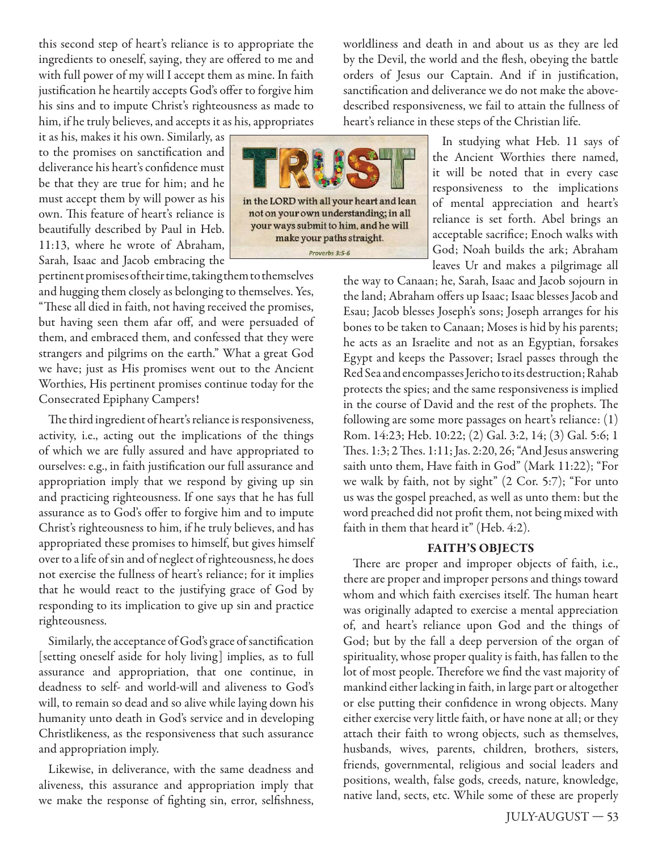this second step of heart's reliance is to appropriate the ingredients to oneself, saying, they are offered to me and with full power of my will I accept them as mine. In faith justification he heartily accepts God's offer to forgive him his sins and to impute Christ's righteousness as made to him, if he truly believes, and accepts it as his, appropriates

it as his, makes it his own. Similarly, as to the promises on sanctification and deliverance his heart's confidence must be that they are true for him; and he must accept them by will power as his own. This feature of heart's reliance is beautifully described by Paul in Heb. 11:13, where he wrote of Abraham, Sarah, Isaac and Jacob embracing the

pertinent promises of their time, taking them to themselves and hugging them closely as belonging to themselves. Yes, "These all died in faith, not having received the promises, but having seen them afar off, and were persuaded of them, and embraced them, and confessed that they were strangers and pilgrims on the earth." What a great God we have; just as His promises went out to the Ancient Worthies, His pertinent promises continue today for the Consecrated Epiphany Campers!

The third ingredient of heart's reliance is responsiveness, activity, i.e., acting out the implications of the things of which we are fully assured and have appropriated to ourselves: e.g., in faith justification our full assurance and appropriation imply that we respond by giving up sin and practicing righteousness. If one says that he has full assurance as to God's offer to forgive him and to impute Christ's righteousness to him, if he truly believes, and has appropriated these promises to himself, but gives himself over to a life of sin and of neglect of righteousness, he does not exercise the fullness of heart's reliance; for it implies that he would react to the justifying grace of God by responding to its implication to give up sin and practice righteousness.

Similarly, the acceptance of God's grace of sanctification [setting oneself aside for holy living] implies, as to full assurance and appropriation, that one continue, in deadness to self- and world-will and aliveness to God's will, to remain so dead and so alive while laying down his humanity unto death in God's service and in developing Christlikeness, as the responsiveness that such assurance and appropriation imply.

Likewise, in deliverance, with the same deadness and aliveness, this assurance and appropriation imply that we make the response of fighting sin, error, selfishness, worldliness and death in and about us as they are led by the Devil, the world and the flesh, obeying the battle orders of Jesus our Captain. And if in justification, sanctification and deliverance we do not make the abovedescribed responsiveness, we fail to attain the fullness of heart's reliance in these steps of the Christian life.

> In studying what Heb. 11 says of the Ancient Worthies there named, it will be noted that in every case responsiveness to the implications of mental appreciation and heart's reliance is set forth. Abel brings an acceptable sacrifice; Enoch walks with God; Noah builds the ark; Abraham leaves Ur and makes a pilgrimage all

the way to Canaan; he, Sarah, Isaac and Jacob sojourn in the land; Abraham offers up Isaac; Isaac blesses Jacob and Esau; Jacob blesses Joseph's sons; Joseph arranges for his bones to be taken to Canaan; Moses is hid by his parents; he acts as an Israelite and not as an Egyptian, forsakes Egypt and keeps the Passover; Israel passes through the Red Sea and encompasses Jericho to its destruction; Rahab protects the spies; and the same responsiveness is implied in the course of David and the rest of the prophets. The following are some more passages on heart's reliance: (1) Rom. 14:23; Heb. 10:22; (2) Gal. 3:2, 14; (3) Gal. 5:6; 1 Thes. 1:3; 2 Thes. 1:11; Jas. 2:20, 26; "And Jesus answering saith unto them, Have faith in God" (Mark 11:22); "For we walk by faith, not by sight" (2 Cor. 5:7); "For unto us was the gospel preached, as well as unto them: but the word preached did not profit them, not being mixed with faith in them that heard it" (Heb. 4:2).

# **FAITH'S OBJECTS**

There are proper and improper objects of faith, i.e., there are proper and improper persons and things toward whom and which faith exercises itself. The human heart was originally adapted to exercise a mental appreciation of, and heart's reliance upon God and the things of God; but by the fall a deep perversion of the organ of spirituality, whose proper quality is faith, has fallen to the lot of most people. Therefore we find the vast majority of mankind either lacking in faith, in large part or altogether or else putting their confidence in wrong objects. Many either exercise very little faith, or have none at all; or they attach their faith to wrong objects, such as themselves, husbands, wives, parents, children, brothers, sisters, friends, governmental, religious and social leaders and positions, wealth, false gods, creeds, nature, knowledge, native land, sects, etc. While some of these are properly

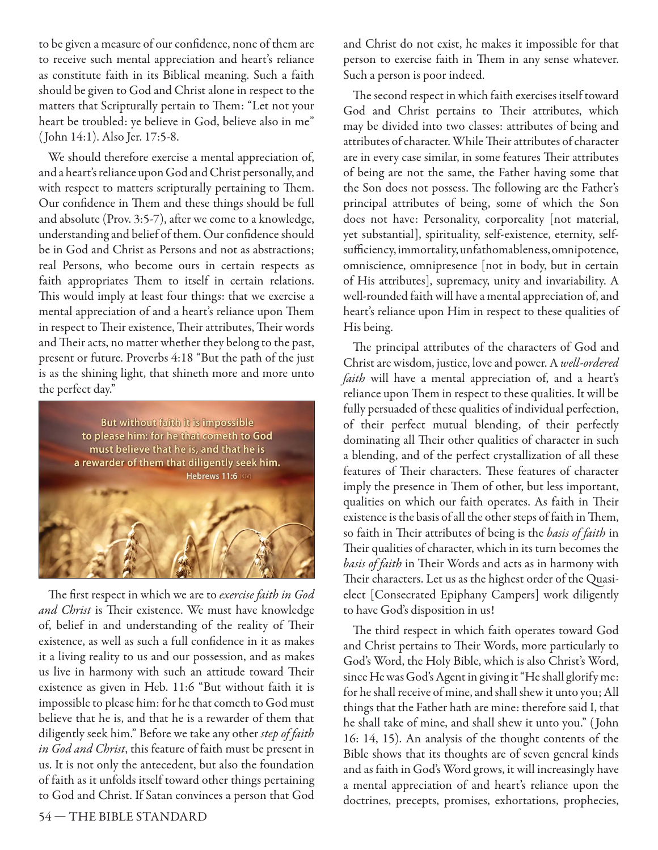to be given a measure of our confidence, none of them are to receive such mental appreciation and heart's reliance as constitute faith in its Biblical meaning. Such a faith should be given to God and Christ alone in respect to the matters that Scripturally pertain to Them: "Let not your heart be troubled: ye believe in God, believe also in me" ( John 14:1). Also Jer. 17:5-8.

We should therefore exercise a mental appreciation of, and a heart's reliance upon God and Christ personally, and with respect to matters scripturally pertaining to Them. Our confidence in Them and these things should be full and absolute (Prov. 3:5-7), after we come to a knowledge, understanding and belief of them. Our confidence should be in God and Christ as Persons and not as abstractions; real Persons, who become ours in certain respects as faith appropriates Them to itself in certain relations. This would imply at least four things: that we exercise a mental appreciation of and a heart's reliance upon Them in respect to Their existence, Their attributes, Their words and Their acts, no matter whether they belong to the past, present or future. Proverbs 4:18 "But the path of the just is as the shining light, that shineth more and more unto the perfect day."



The first respect in which we are to *exercise faith in God* and Christ is Their existence. We must have knowledge of, belief in and understanding of the reality of Their existence, as well as such a full confidence in it as makes it a living reality to us and our possession, and as makes us live in harmony with such an attitude toward Their existence as given in Heb. 11:6 "But without faith it is impossible to please him: for he that cometh to God must believe that he is, and that he is a rewarder of them that diligently seek him." Before we take any other step of faith in God and Christ, this feature of faith must be present in us. It is not only the antecedent, but also the foundation of faith as it unfolds itself toward other things pertaining to God and Christ. If Satan convinces a person that God and Christ do not exist, he makes it impossible for that person to exercise faith in Them in any sense whatever. Such a person is poor indeed.

The second respect in which faith exercises itself toward God and Christ pertains to Their attributes, which may be divided into two classes: attributes of being and attributes of character. While Their attributes of character are in every case similar, in some features Their attributes of being are not the same, the Father having some that the Son does not possess. The following are the Father's principal attributes of being, some of which the Son does not have: Personality, corporeality [not material, yet substantial], spirituality, self-existence, eternity, selfsufficiency, immortality, unfathomableness, omnipotence, omniscience, omnipresence [not in body, but in certain of His attributes], supremacy, unity and invariability. A well-rounded faith will have a mental appreciation of, and heart's reliance upon Him in respect to these qualities of His being.

The principal attributes of the characters of God and Christ are wisdom, justice, love and power. A well-ordered faith will have a mental appreciation of, and a heart's reliance upon Them in respect to these qualities. It will be fully persuaded of these qualities of individual perfection, of their perfect mutual blending, of their perfectly dominating all Their other qualities of character in such a blending, and of the perfect crystallization of all these features of Their characters. These features of character imply the presence in Them of other, but less important, qualities on which our faith operates. As faith in Their existence is the basis of all the other steps of faith in Them, so faith in Their attributes of being is the basis of faith in Their qualities of character, which in its turn becomes the basis of faith in Their Words and acts as in harmony with Their characters. Let us as the highest order of the Quasielect [Consecrated Epiphany Campers] work diligently to have God's disposition in us!

The third respect in which faith operates toward God and Christ pertains to Their Words, more particularly to God's Word, the Holy Bible, which is also Christ's Word, since He was God's Agent in giving it "He shall glorify me: for he shall receive of mine, and shall shew it unto you; All things that the Father hath are mine: therefore said I, that he shall take of mine, and shall shew it unto you." ( John 16: 14, 15). An analysis of the thought contents of the Bible shows that its thoughts are of seven general kinds and as faith in God's Word grows, it will increasingly have a mental appreciation of and heart's reliance upon the doctrines, precepts, promises, exhortations, prophecies,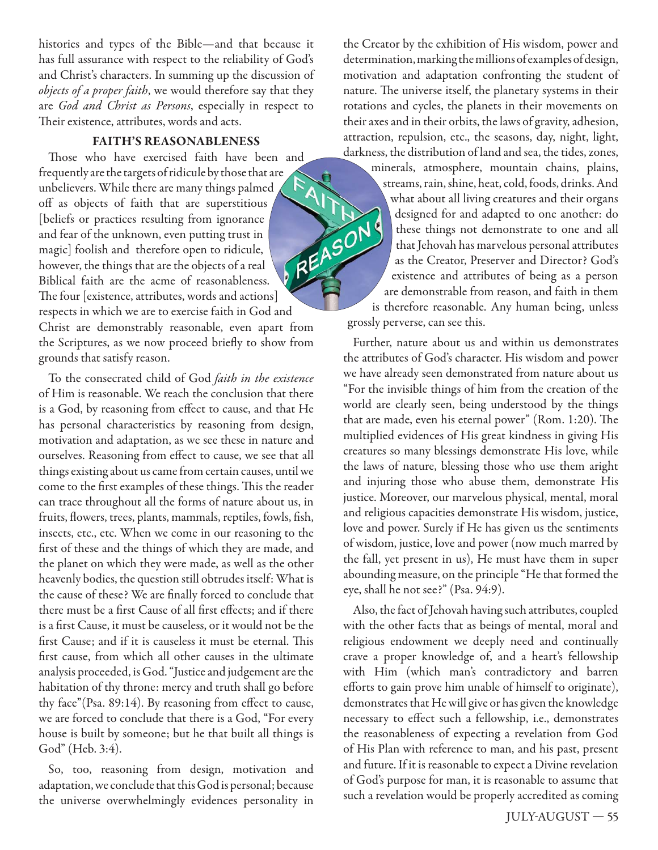histories and types of the Bible—and that because it has full assurance with respect to the reliability of God's and Christ's characters. In summing up the discussion of objects of a proper faith, we would therefore say that they are God and Christ as Persons, especially in respect to Their existence, attributes, words and acts.

# **FAITH'S REASONABLENESS**

Those who have exercised faith have been and frequently are the targets of ridicule by those that are **ATA** unbelievers. While there are many things palmed off as objects of faith that are superstitious REASON [beliefs or practices resulting from ignorance and fear of the unknown, even putting trust in magic] foolish and therefore open to ridicule, however, the things that are the objects of a real Biblical faith are the acme of reasonableness. The four [existence, attributes, words and actions] respects in which we are to exercise faith in God and Christ are demonstrably reasonable, even apart from the Scriptures, as we now proceed briefly to show from grounds that satisfy reason.

To the consecrated child of God faith in the existence of Him is reasonable. We reach the conclusion that there is a God, by reasoning from effect to cause, and that He has personal characteristics by reasoning from design, motivation and adaptation, as we see these in nature and ourselves. Reasoning from effect to cause, we see that all things existing about us came from certain causes, until we come to the first examples of these things. This the reader can trace throughout all the forms of nature about us, in fruits, flowers, trees, plants, mammals, reptiles, fowls, fish, insects, etc., etc. When we come in our reasoning to the first of these and the things of which they are made, and the planet on which they were made, as well as the other heavenly bodies, the question still obtrudes itself: What is the cause of these? We are finally forced to conclude that there must be a first Cause of all first effects: and if there is a first Cause, it must be causeless, or it would not be the first Cause; and if it is causeless it must be eternal. This first cause, from which all other causes in the ultimate analysis proceeded, is God. "Justice and judgement are the habitation of thy throne: mercy and truth shall go before thy face"(Psa.  $89:14$ ). By reasoning from effect to cause, we are forced to conclude that there is a God, "For every house is built by someone; but he that built all things is God" (Heb. 3:4).

So, too, reasoning from design, motivation and adaptation, we conclude that this God is personal; because the universe overwhelmingly evidences personality in the Creator by the exhibition of His wisdom, power and determination, marking the millions of examples of design, motivation and adaptation confronting the student of nature. The universe itself, the planetary systems in their rotations and cycles, the planets in their movements on their axes and in their orbits, the laws of gravity, adhesion, attraction, repulsion, etc., the seasons, day, night, light, darkness, the distribution of land and sea, the tides, zones, minerals, atmosphere, mountain chains, plains, streams, rain, shine, heat, cold, foods, drinks. And what about all living creatures and their organs designed for and adapted to one another: do these things not demonstrate to one and all that Jehovah has marvelous personal attributes as the Creator, Preserver and Director? God's existence and attributes of being as a person are demonstrable from reason, and faith in them is therefore reasonable. Any human being, unless grossly perverse, can see this.

Further, nature about us and within us demonstrates the attributes of God's character. His wisdom and power we have already seen demonstrated from nature about us "For the invisible things of him from the creation of the world are clearly seen, being understood by the things that are made, even his eternal power" (Rom. 1:20). The multiplied evidences of His great kindness in giving His creatures so many blessings demonstrate His love, while the laws of nature, blessing those who use them aright and injuring those who abuse them, demonstrate His justice. Moreover, our marvelous physical, mental, moral and religious capacities demonstrate His wisdom, justice, love and power. Surely if He has given us the sentiments of wisdom, justice, love and power (now much marred by the fall, yet present in us), He must have them in super abounding measure, on the principle "He that formed the eye, shall he not see?" (Psa. 94:9).

Also, the fact of Jehovah having such attributes, coupled with the other facts that as beings of mental, moral and religious endowment we deeply need and continually crave a proper knowledge of, and a heart's fellowship with Him (which man's contradictory and barren efforts to gain prove him unable of himself to originate), demonstrates that He will give or has given the knowledge necessary to effect such a fellowship, i.e., demonstrates the reasonableness of expecting a revelation from God of His Plan with reference to man, and his past, present and future. If it is reasonable to expect a Divine revelation of God's purpose for man, it is reasonable to assume that such a revelation would be properly accredited as coming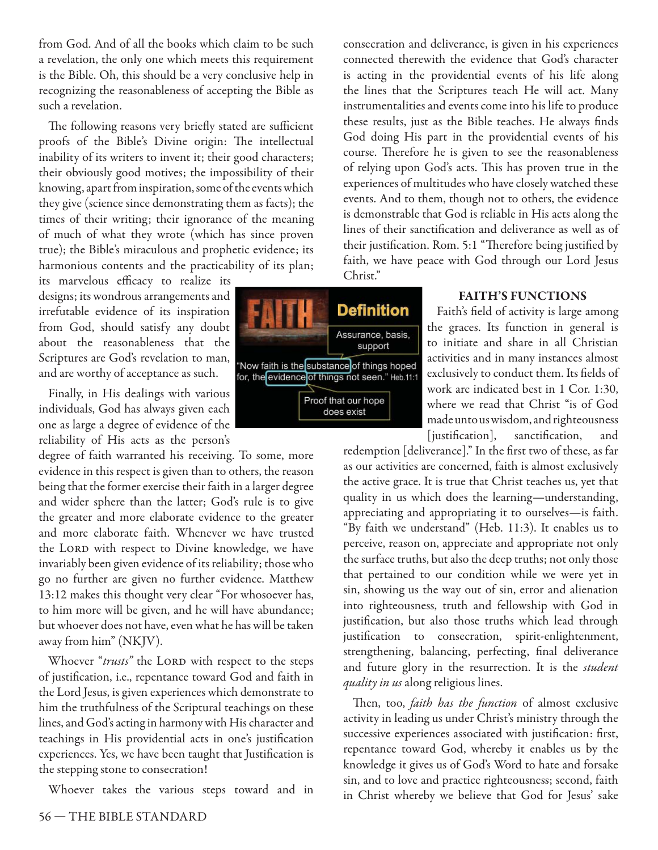from God. And of all the books which claim to be such a revelation, the only one which meets this requirement is the Bible. Oh, this should be a very conclusive help in recognizing the reasonableness of accepting the Bible as such a revelation.

The following reasons very briefly stated are sufficient proofs of the Bible's Divine origin: The intellectual inability of its writers to invent it; their good characters; their obviously good motives; the impossibility of their knowing, apart from inspiration, some of the events which they give (science since demonstrating them as facts); the times of their writing; their ignorance of the meaning of much of what they wrote (which has since proven true); the Bible's miraculous and prophetic evidence; its harmonious contents and the practicability of its plan;

its marvelous efficacy to realize its designs; its wondrous arrangements and irrefutable evidence of its inspiration from God, should satisfy any doubt about the reasonableness that the Scriptures are God's revelation to man, and are worthy of acceptance as such.

Finally, in His dealings with various individuals, God has always given each one as large a degree of evidence of the reliability of His acts as the person's

degree of faith warranted his receiving. To some, more evidence in this respect is given than to others, the reason being that the former exercise their faith in a larger degree and wider sphere than the latter; God's rule is to give the greater and more elaborate evidence to the greater and more elaborate faith. Whenever we have trusted the LORD with respect to Divine knowledge, we have invariably been given evidence of its reliability; those who go no further are given no further evidence. Matthew 13:12 makes this thought very clear "For whosoever has, to him more will be given, and he will have abundance; but whoever does not have, even what he has will be taken away from him" (NKJV).

Whoever "trusts" the LORD with respect to the steps of justification, i.e., repentance toward God and faith in the Lord Jesus, is given experiences which demonstrate to him the truthfulness of the Scriptural teachings on these lines, and God's acting in harmony with His character and teachings in His providential acts in one's justification experiences. Yes, we have been taught that Justification is the stepping stone to consecration!

Whoever takes the various steps toward and in



consecration and deliverance, is given in his experiences connected therewith the evidence that God's character is acting in the providential events of his life along the lines that the Scriptures teach He will act. Many instrumentalities and events come into his life to produce these results, just as the Bible teaches. He always finds God doing His part in the providential events of his course. Therefore he is given to see the reasonableness of relying upon God's acts. This has proven true in the experiences of multitudes who have closely watched these events. And to them, though not to others, the evidence is demonstrable that God is reliable in His acts along the lines of their sanctification and deliverance as well as of their justification. Rom. 5:1 "Therefore being justified by faith, we have peace with God through our Lord Jesus Christ."

#### **FAITH'S FUNCTIONS**

Faith's field of activity is large among the graces. Its function in general is to initiate and share in all Christian activities and in many instances almost exclusively to conduct them. Its fields of work are indicated best in 1 Cor. 1:30, where we read that Christ "is of God made unto us wisdom, and righteousness [justification], sanctification, and

redemption [deliverance]." In the first two of these, as far as our activities are concerned, faith is almost exclusively the active grace. It is true that Christ teaches us, yet that quality in us which does the learning—understanding, appreciating and appropriating it to ourselves—is faith. "By faith we understand" (Heb. 11:3). It enables us to perceive, reason on, appreciate and appropriate not only the surface truths, but also the deep truths; not only those that pertained to our condition while we were yet in sin, showing us the way out of sin, error and alienation into righteousness, truth and fellowship with God in justification, but also those truths which lead through justification to consecration, spirit-enlightenment, strengthening, balancing, perfecting, final deliverance and future glory in the resurrection. It is the *student* quality in us along religious lines.

Then, too, *faith has the function* of almost exclusive activity in leading us under Christ's ministry through the successive experiences associated with justification: first, repentance toward God, whereby it enables us by the knowledge it gives us of God's Word to hate and forsake sin, and to love and practice righteousness; second, faith in Christ whereby we believe that God for Jesus' sake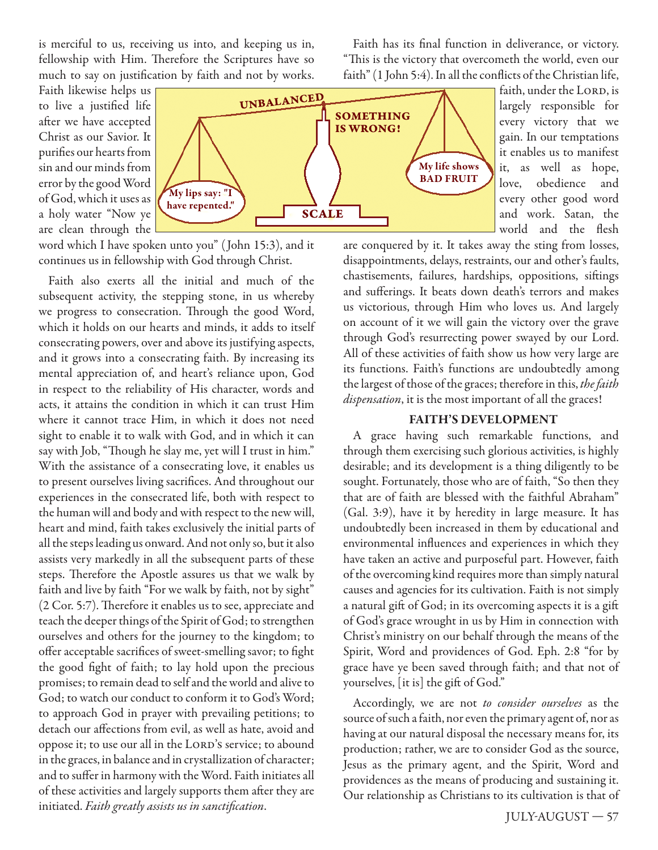is merciful to us, receiving us into, and keeping us in, fellowship with Him. Therefore the Scriptures have so much to say on justification by faith and not by works.

Faith has its final function in deliverance, or victory. "This is the victory that overcometh the world, even our faith" (1 John 5:4). In all the conflicts of the Christian life,

Faith likewise helps us to live a justified life after we have accepted Christ as our Savior. It purifies our hearts from sin and our minds from error by the good Word of God, which it uses as a holy water "Now ye are clean through the



faith, under the LORD, is largely responsible for every victory that we gain. In our temptations it enables us to manifest it, as well as hope, love, obedience and every other good word and work. Satan, the world and the flesh

word which I have spoken unto you" ( John 15:3), and it continues us in fellowship with God through Christ.

Faith also exerts all the initial and much of the subsequent activity, the stepping stone, in us whereby we progress to consecration. Through the good Word, which it holds on our hearts and minds, it adds to itself consecrating powers, over and above its justifying aspects, and it grows into a consecrating faith. By increasing its mental appreciation of, and heart's reliance upon, God in respect to the reliability of His character, words and acts, it attains the condition in which it can trust Him where it cannot trace Him, in which it does not need sight to enable it to walk with God, and in which it can say with Job, "Though he slay me, yet will I trust in him." With the assistance of a consecrating love, it enables us to present ourselves living sacrifices. And throughout our experiences in the consecrated life, both with respect to the human will and body and with respect to the new will, heart and mind, faith takes exclusively the initial parts of all the steps leading us onward. And not only so, but it also assists very markedly in all the subsequent parts of these steps. Therefore the Apostle assures us that we walk by faith and live by faith "For we walk by faith, not by sight" (2 Cor. 5:7). Therefore it enables us to see, appreciate and teach the deeper things of the Spirit of God; to strengthen ourselves and others for the journey to the kingdom; to offer acceptable sacrifices of sweet-smelling savor; to fight the good fight of faith; to lay hold upon the precious promises; to remain dead to self and the world and alive to God; to watch our conduct to conform it to God's Word; to approach God in prayer with prevailing petitions; to detach our affections from evil, as well as hate, avoid and oppose it; to use our all in the LORD's service; to abound in the graces, in balance and in crystallization of character; and to suffer in harmony with the Word. Faith initiates all of these activities and largely supports them after they are initiated. Faith greatly assists us in sanctification.

are conquered by it. It takes away the sting from losses, disappointments, delays, restraints, our and other's faults, chastisements, failures, hardships, oppositions, siftings and sufferings. It beats down death's terrors and makes us victorious, through Him who loves us. And largely on account of it we will gain the victory over the grave through God's resurrecting power swayed by our Lord. All of these activities of faith show us how very large are its functions. Faith's functions are undoubtedly among the largest of those of the graces; therefore in this, the faith dispensation, it is the most important of all the graces!

#### **FAITH'S DEVELOPMENT**

A grace having such remarkable functions, and through them exercising such glorious activities, is highly desirable; and its development is a thing diligently to be sought. Fortunately, those who are of faith, "So then they that are of faith are blessed with the faithful Abraham" (Gal. 3:9), have it by heredity in large measure. It has undoubtedly been increased in them by educational and environmental influences and experiences in which they have taken an active and purposeful part. However, faith of the overcoming kind requires more than simply natural causes and agencies for its cultivation. Faith is not simply a natural gift of God; in its overcoming aspects it is a gift of God's grace wrought in us by Him in connection with Christ's ministry on our behalf through the means of the Spirit, Word and providences of God. Eph. 2:8 "for by grace have ye been saved through faith; and that not of yourselves, [it is] the gift of God."

Accordingly, we are not to consider ourselves as the source of such a faith, nor even the primary agent of, nor as having at our natural disposal the necessary means for, its production; rather, we are to consider God as the source, Jesus as the primary agent, and the Spirit, Word and providences as the means of producing and sustaining it. Our relationship as Christians to its cultivation is that of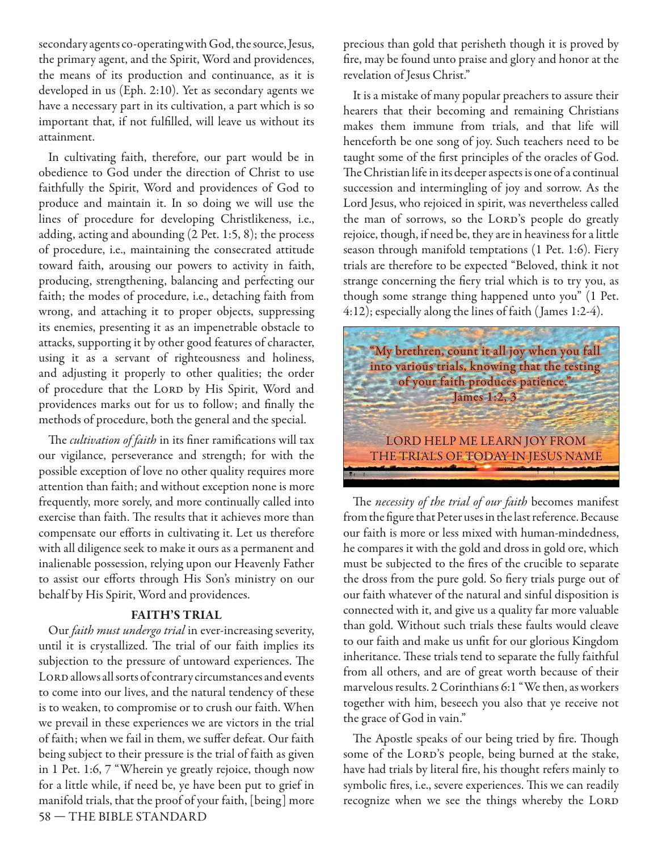secondary agents co-operating with God, the source, Jesus, the primary agent, and the Spirit, Word and providences, the means of its production and continuance, as it is developed in us (Eph. 2:10). Yet as secondary agents we have a necessary part in its cultivation, a part which is so important that, if not fulfilled, will leave us without its attainment.

In cultivating faith, therefore, our part would be in obedience to God under the direction of Christ to use faithfully the Spirit, Word and providences of God to produce and maintain it. In so doing we will use the lines of procedure for developing Christlikeness, i.e., adding, acting and abounding (2 Pet. 1:5, 8); the process of procedure, i.e., maintaining the consecrated attitude toward faith, arousing our powers to activity in faith, producing, strengthening, balancing and perfecting our faith; the modes of procedure, i.e., detaching faith from wrong, and attaching it to proper objects, suppressing its enemies, presenting it as an impenetrable obstacle to attacks, supporting it by other good features of character, using it as a servant of righteousness and holiness, and adjusting it properly to other qualities; the order of procedure that the LORD by His Spirit, Word and providences marks out for us to follow; and finally the methods of procedure, both the general and the special.

The *cultivation of faith* in its finer ramifications will tax our vigilance, perseverance and strength; for with the possible exception of love no other quality requires more attention than faith; and without exception none is more frequently, more sorely, and more continually called into exercise than faith. The results that it achieves more than compensate our efforts in cultivating it. Let us therefore with all diligence seek to make it ours as a permanent and inalienable possession, relying upon our Heavenly Father to assist our efforts through His Son's ministry on our behalf by His Spirit, Word and providences.

#### **FAITH'S TRIAL**

58 — THE BIBLE STANDARD Our faith must undergo trial in ever-increasing severity, until it is crystallized. The trial of our faith implies its subjection to the pressure of untoward experiences. The LORD allows all sorts of contrary circumstances and events to come into our lives, and the natural tendency of these is to weaken, to compromise or to crush our faith. When we prevail in these experiences we are victors in the trial of faith; when we fail in them, we suffer defeat. Our faith being subject to their pressure is the trial of faith as given in 1 Pet. 1:6, 7 "Wherein ye greatly rejoice, though now for a little while, if need be, ye have been put to grief in manifold trials, that the proof of your faith, [being] more

precious than gold that perisheth though it is proved by fire, may be found unto praise and glory and honor at the revelation of Jesus Christ."

It is a mistake of many popular preachers to assure their hearers that their becoming and remaining Christians makes them immune from trials, and that life will henceforth be one song of joy. Such teachers need to be taught some of the first principles of the oracles of God. The Christian life in its deeper aspects is one of a continual succession and intermingling of joy and sorrow. As the Lord Jesus, who rejoiced in spirit, was nevertheless called the man of sorrows, so the LORD's people do greatly rejoice, though, if need be, they are in heaviness for a little season through manifold temptations (1 Pet. 1:6). Fiery trials are therefore to be expected "Beloved, think it not strange concerning the fiery trial which is to try you, as though some strange thing happened unto you" (1 Pet. 4:12); especially along the lines of faith ( James 1:2-4).



The necessity of the trial of our faith becomes manifest from the figure that Peter uses in the last reference. Because our faith is more or less mixed with human-mindedness, he compares it with the gold and dross in gold ore, which must be subjected to the fires of the crucible to separate the dross from the pure gold. So fiery trials purge out of our faith whatever of the natural and sinful disposition is connected with it, and give us a quality far more valuable than gold. Without such trials these faults would cleave to our faith and make us unfit for our glorious Kingdom inheritance. These trials tend to separate the fully faithful from all others, and are of great worth because of their marvelous results. 2 Corinthians 6:1 "We then, as workers together with him, beseech you also that ye receive not the grace of God in vain."

The Apostle speaks of our being tried by fire. Though some of the LORD's people, being burned at the stake, have had trials by literal fire, his thought refers mainly to symbolic fires, i.e., severe experiences. This we can readily recognize when we see the things whereby the LORD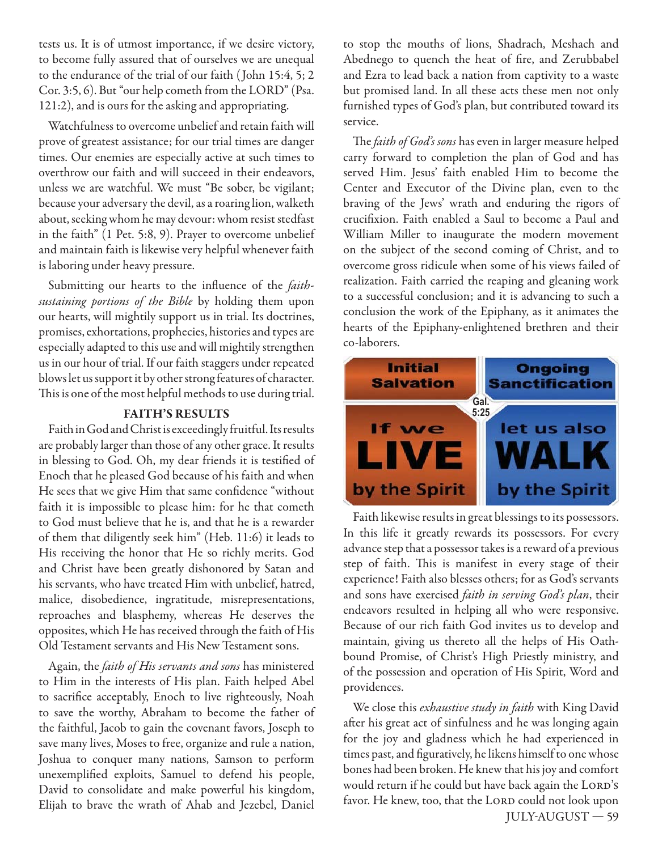tests us. It is of utmost importance, if we desire victory, to become fully assured that of ourselves we are unequal to the endurance of the trial of our faith ( John 15:4, 5; 2 Cor. 3:5, 6). But "our help cometh from the LORD" (Psa. 121:2), and is ours for the asking and appropriating.

Watchfulness to overcome unbelief and retain faith will prove of greatest assistance; for our trial times are danger times. Our enemies are especially active at such times to overthrow our faith and will succeed in their endeavors, unless we are watchful. We must "Be sober, be vigilant; because your adversary the devil, as a roaring lion, walketh about, seeking whom he may devour: whom resist stedfast in the faith" (1 Pet. 5:8, 9). Prayer to overcome unbelief and maintain faith is likewise very helpful whenever faith is laboring under heavy pressure.

Submitting our hearts to the influence of the *faith*sustaining portions of the Bible by holding them upon our hearts, will mightily support us in trial. Its doctrines, promises, exhortations, prophecies, histories and types are especially adapted to this use and will mightily strengthen us in our hour of trial. If our faith staggers under repeated blows let us support it by other strong features of character. This is one of the most helpful methods to use during trial.

#### **FAITH'S RESULTS**

Faith in God and Christ is exceedingly fruitful. Its results are probably larger than those of any other grace. It results in blessing to God. Oh, my dear friends it is testified of Enoch that he pleased God because of his faith and when He sees that we give Him that same confidence "without faith it is impossible to please him: for he that cometh to God must believe that he is, and that he is a rewarder of them that diligently seek him" (Heb. 11:6) it leads to His receiving the honor that He so richly merits. God and Christ have been greatly dishonored by Satan and his servants, who have treated Him with unbelief, hatred, malice, disobedience, ingratitude, misrepresentations, reproaches and blasphemy, whereas He deserves the opposites, which He has received through the faith of His Old Testament servants and His New Testament sons.

Again, the faith of His servants and sons has ministered to Him in the interests of His plan. Faith helped Abel to sacrifice acceptably, Enoch to live righteously, Noah to save the worthy, Abraham to become the father of the faithful, Jacob to gain the covenant favors, Joseph to save many lives, Moses to free, organize and rule a nation, Joshua to conquer many nations, Samson to perform unexemplified exploits, Samuel to defend his people, David to consolidate and make powerful his kingdom, Elijah to brave the wrath of Ahab and Jezebel, Daniel

to stop the mouths of lions, Shadrach, Meshach and Abednego to quench the heat of fire, and Zerubbabel and Ezra to lead back a nation from captivity to a waste but promised land. In all these acts these men not only furnished types of God's plan, but contributed toward its service.

The *faith of God's sons* has even in larger measure helped carry forward to completion the plan of God and has served Him. Jesus' faith enabled Him to become the Center and Executor of the Divine plan, even to the braving of the Jews' wrath and enduring the rigors of crucifixion. Faith enabled a Saul to become a Paul and William Miller to inaugurate the modern movement on the subject of the second coming of Christ, and to overcome gross ridicule when some of his views failed of realization. Faith carried the reaping and gleaning work to a successful conclusion; and it is advancing to such a conclusion the work of the Epiphany, as it animates the hearts of the Epiphany-enlightened brethren and their co-laborers.



Faith likewise results in great blessings to its possessors. In this life it greatly rewards its possessors. For every advance step that a possessor takes is a reward of a previous step of faith. This is manifest in every stage of their experience! Faith also blesses others; for as God's servants and sons have exercised *faith in serving God's plan*, their endeavors resulted in helping all who were responsive. Because of our rich faith God invites us to develop and maintain, giving us thereto all the helps of His Oathbound Promise, of Christ's High Priestly ministry, and of the possession and operation of His Spirit, Word and providences.

 JULY-AUGUST — 59 We close this exhaustive study in faith with King David after his great act of sinfulness and he was longing again for the joy and gladness which he had experienced in times past, and figuratively, he likens himself to one whose bones had been broken. He knew that his joy and comfort would return if he could but have back again the LORD's favor. He knew, too, that the LORD could not look upon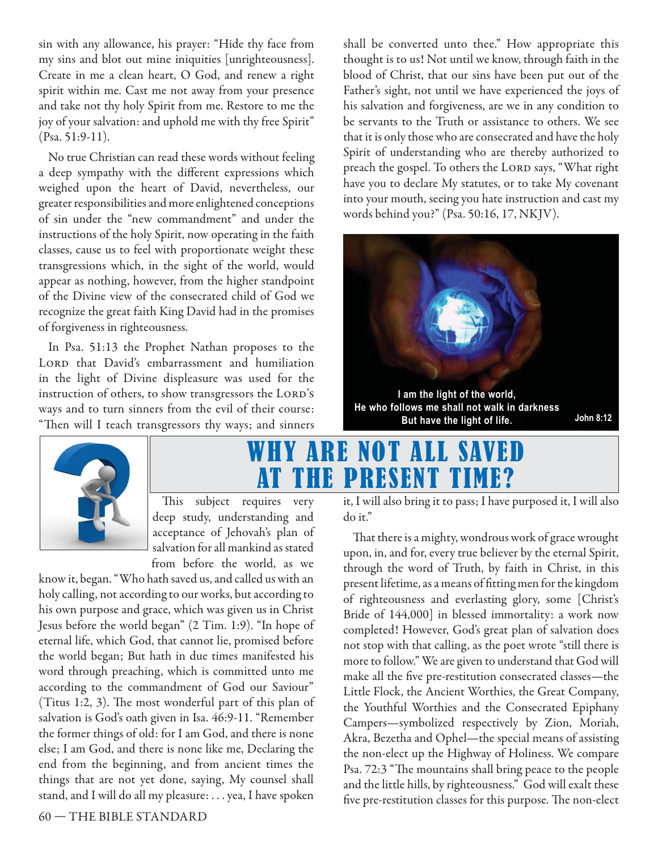sin with any allowance, his prayer: "Hide thy face from my sins and blot out mine iniquities [unrighteousness]. Create in me a clean heart, O God, and renew a right spirit within me. Cast me not away from your presence and take not thy holy Spirit from me. Restore to me the joy of your salvation: and uphold me with thy free Spirit" (Psa. 51:9-11).

No true Christian can read these words without feeling a deep sympathy with the different expressions which weighed upon the heart of David, nevertheless, our greater responsibilities and more enlightened conceptions of sin under the "new commandment" and under the instructions of the holy Spirit, now operating in the faith classes, cause us to feel with proportionate weight these transgressions which, in the sight of the world, would appear as nothing, however, from the higher standpoint of the Divine view of the consecrated child of God we recognize the great faith King David had in the promises of forgiveness in righteousness.

In Psa. 51:13 the Prophet Nathan proposes to the LORD that David's embarrassment and humiliation in the light of Divine displeasure was used for the instruction of others, to show transgressors the LORD's ways and to turn sinners from the evil of their course: "Then will I teach transgressors thy ways; and sinners

shall be converted unto thee." How appropriate this thought is to us! Not until we know, through faith in the blood of Christ, that our sins have been put out of the Father's sight, not until we have experienced the joys of his salvation and forgiveness, are we in any condition to be servants to the Truth or assistance to others. We see that it is only those who are consecrated and have the holy Spirit of understanding who are thereby authorized to preach the gospel. To others the LORD says, "What right have you to declare My statutes, or to take My covenant into your mouth, seeing you hate instruction and cast my words behind you?" (Psa. 50:16, 17, NKJV).





# WHY ARE NOT ALL SA AT THE PRESENT TIM

This subject requires very deep study, understanding and acceptance of Jehovah's plan of salvation for all mankind as stated from before the world, as we

know it, began. "Who hath saved us, and called us with an holy calling, not according to our works, but according to his own purpose and grace, which was given us in Christ Jesus before the world began" (2 Tim. 1:9). "In hope of eternal life, which God, that cannot lie, promised before the world began; But hath in due times manifested his word through preaching, which is committed unto me according to the commandment of God our Saviour" (Titus 1:2, 3). The most wonderful part of this plan of salvation is God's oath given in Isa. 46:9-11. "Remember the former things of old: for I am God, and there is none else; I am God, and there is none like me, Declaring the end from the beginning, and from ancient times the things that are not yet done, saying, My counsel shall stand, and I will do all my pleasure: . . . yea, I have spoken

60 — THE BIBLE STANDARD

it, I will also bring it to pass; I have purposed it, I will also do it."

That there is a mighty, wondrous work of grace wrought upon, in, and for, every true believer by the eternal Spirit, through the word of Truth, by faith in Christ, in this present lifetime, as a means of fitting men for the kingdom of righteousness and everlasting glory, some [Christ's Bride of 144,000] in blessed immortality: a work now completed! However, God's great plan of salvation does not stop with that calling, as the poet wrote "still there is more to follow." We are given to understand that God will make all the five pre-restitution consecrated classes—the Little Flock, the Ancient Worthies, the Great Company, the Youthful Worthies and the Consecrated Epiphany Campers—symbolized respectively by Zion, Moriah, Akra, Bezetha and Ophel—the special means of assisting the non-elect up the Highway of Holiness. We compare Psa. 72:3 "The mountains shall bring peace to the people and the little hills, by righteousness." God will exalt these five pre-restitution classes for this purpose. The non-elect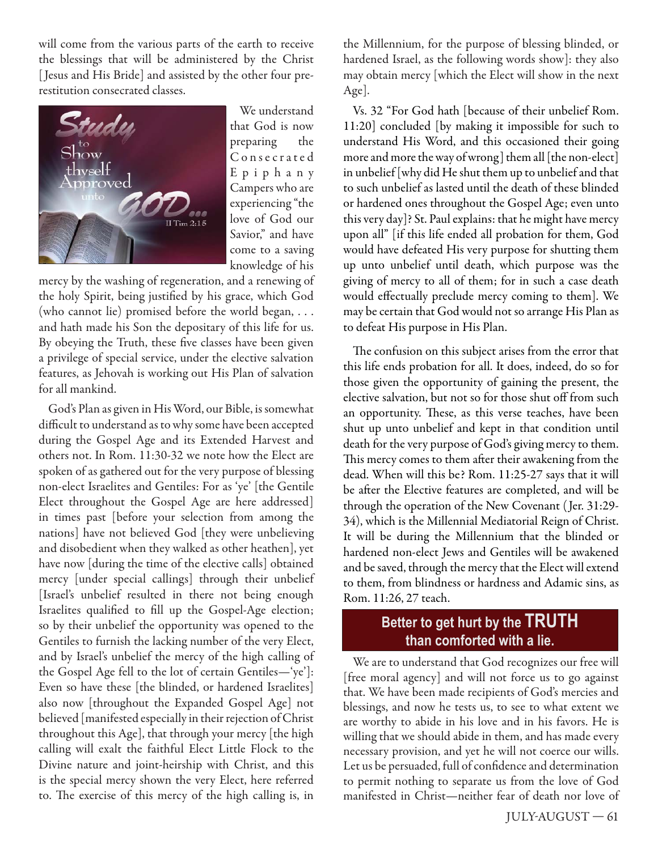will come from the various parts of the earth to receive the blessings that will be administered by the Christ [Jesus and His Bride] and assisted by the other four prerestitution consecrated classes.



We understand that God is now preparing the C o n s e c r a t e d E p i p h a n y Campers who are experiencing "the love of God our Savior," and have come to a saving knowledge of his

mercy by the washing of regeneration, and a renewing of the holy Spirit, being justified by his grace, which God (who cannot lie) promised before the world began, . . . and hath made his Son the depositary of this life for us. By obeying the Truth, these five classes have been given a privilege of special service, under the elective salvation features, as Jehovah is working out His Plan of salvation for all mankind.

God's Plan as given in His Word, our Bible, is somewhat difficult to understand as to why some have been accepted during the Gospel Age and its Extended Harvest and others not. In Rom. 11:30-32 we note how the Elect are spoken of as gathered out for the very purpose of blessing non-elect Israelites and Gentiles: For as 'ye' [the Gentile Elect throughout the Gospel Age are here addressed] in times past [before your selection from among the nations] have not believed God [they were unbelieving and disobedient when they walked as other heathen], yet have now [during the time of the elective calls] obtained mercy [under special callings] through their unbelief [Israel's unbelief resulted in there not being enough Israelites qualified to fill up the Gospel-Age election; so by their unbelief the opportunity was opened to the Gentiles to furnish the lacking number of the very Elect, and by Israel's unbelief the mercy of the high calling of the Gospel Age fell to the lot of certain Gentiles—'ye']: Even so have these [the blinded, or hardened Israelites] also now [throughout the Expanded Gospel Age] not believed [manifested especially in their rejection of Christ throughout this Age], that through your mercy [the high calling will exalt the faithful Elect Little Flock to the Divine nature and joint-heirship with Christ, and this is the special mercy shown the very Elect, here referred to. The exercise of this mercy of the high calling is, in

the Millennium, for the purpose of blessing blinded, or hardened Israel, as the following words show]: they also may obtain mercy [which the Elect will show in the next Age].

Vs. 32 "For God hath [because of their unbelief Rom. 11:20] concluded [by making it impossible for such to understand His Word, and this occasioned their going more and more the way of wrong] them all [the non-elect] in unbelief [why did He shut them up to unbelief and that to such unbelief as lasted until the death of these blinded or hardened ones throughout the Gospel Age; even unto this very day]? St. Paul explains: that he might have mercy upon all" [if this life ended all probation for them, God would have defeated His very purpose for shutting them up unto unbelief until death, which purpose was the giving of mercy to all of them; for in such a case death would effectually preclude mercy coming to them]. We may be certain that God would not so arrange His Plan as to defeat His purpose in His Plan.

The confusion on this subject arises from the error that this life ends probation for all. It does, indeed, do so for those given the opportunity of gaining the present, the elective salvation, but not so for those shut off from such an opportunity. These, as this verse teaches, have been shut up unto unbelief and kept in that condition until death for the very purpose of God's giving mercy to them. This mercy comes to them after their awakening from the dead. When will this be? Rom. 11:25-27 says that it will be after the Elective features are completed, and will be through the operation of the New Covenant ( Jer. 31:29- 34), which is the Millennial Mediatorial Reign of Christ. It will be during the Millennium that the blinded or hardened non-elect Jews and Gentiles will be awakened and be saved, through the mercy that the Elect will extend to them, from blindness or hardness and Adamic sins, as Rom. 11:26, 27 teach.

# Better to get hurt by the TRUTH than comforted with a lie.

We are to understand that God recognizes our free will [free moral agency] and will not force us to go against that. We have been made recipients of God's mercies and blessings, and now he tests us, to see to what extent we are worthy to abide in his love and in his favors. He is willing that we should abide in them, and has made every necessary provision, and yet he will not coerce our wills. Let us be persuaded, full of confidence and determination to permit nothing to separate us from the love of God manifested in Christ—neither fear of death nor love of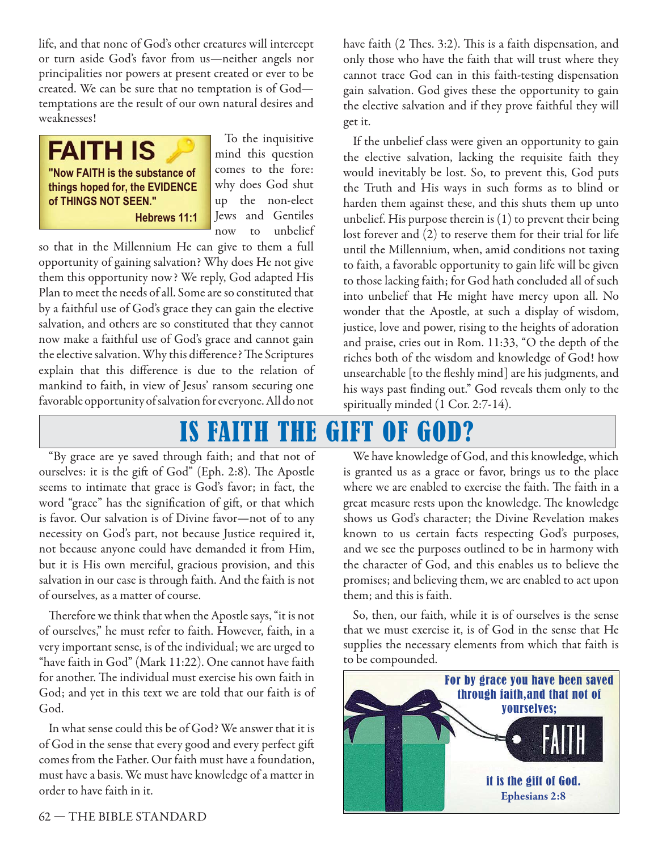life, and that none of God's other creatures will intercept or turn aside God's favor from us—neither angels nor principalities nor powers at present created or ever to be created. We can be sure that no temptation is of God temptations are the result of our own natural desires and weaknesses!



To the inquisitive mind this question comes to the fore: why does God shut up the non-elect Jews and Gentiles now to unbelief

so that in the Millennium He can give to them a full opportunity of gaining salvation? Why does He not give them this opportunity now? We reply, God adapted His Plan to meet the needs of all. Some are so constituted that by a faithful use of God's grace they can gain the elective salvation, and others are so constituted that they cannot now make a faithful use of God's grace and cannot gain the elective salvation. Why this difference? The Scriptures explain that this difference is due to the relation of mankind to faith, in view of Jesus' ransom securing one favorable opportunity of salvation for everyone. All do not

have faith (2 Thes. 3:2). This is a faith dispensation, and only those who have the faith that will trust where they cannot trace God can in this faith-testing dispensation gain salvation. God gives these the opportunity to gain the elective salvation and if they prove faithful they will get it.

If the unbelief class were given an opportunity to gain the elective salvation, lacking the requisite faith they would inevitably be lost. So, to prevent this, God puts the Truth and His ways in such forms as to blind or harden them against these, and this shuts them up unto unbelief. His purpose therein is (1) to prevent their being lost forever and (2) to reserve them for their trial for life until the Millennium, when, amid conditions not taxing to faith, a favorable opportunity to gain life will be given to those lacking faith; for God hath concluded all of such into unbelief that He might have mercy upon all. No wonder that the Apostle, at such a display of wisdom, justice, love and power, rising to the heights of adoration and praise, cries out in Rom. 11:33, "O the depth of the riches both of the wisdom and knowledge of God! how unsearchable [to the fleshly mind] are his judgments, and his ways past finding out." God reveals them only to the spiritually minded (1 Cor. 2:7-14).

# IS FAITH THE GIFT OF GOD?

"By grace are ye saved through faith; and that not of ourselves: it is the gift of God" (Eph. 2:8). The Apostle seems to intimate that grace is God's favor; in fact, the word "grace" has the signification of gift, or that which is favor. Our salvation is of Divine favor—not of to any necessity on God's part, not because Justice required it, not because anyone could have demanded it from Him, but it is His own merciful, gracious provision, and this salvation in our case is through faith. And the faith is not of ourselves, as a matter of course.

Therefore we think that when the Apostle says, "it is not of ourselves," he must refer to faith. However, faith, in a very important sense, is of the individual; we are urged to "have faith in God" (Mark 11:22). One cannot have faith for another. The individual must exercise his own faith in God; and yet in this text we are told that our faith is of God.

In what sense could this be of God? We answer that it is of God in the sense that every good and every perfect gift comes from the Father. Our faith must have a foundation, must have a basis. We must have knowledge of a matter in order to have faith in it.

We have knowledge of God, and this knowledge, which is granted us as a grace or favor, brings us to the place where we are enabled to exercise the faith. The faith in a great measure rests upon the knowledge. The knowledge shows us God's character; the Divine Revelation makes known to us certain facts respecting God's purposes, and we see the purposes outlined to be in harmony with the character of God, and this enables us to believe the promises; and believing them, we are enabled to act upon them; and this is faith.

So, then, our faith, while it is of ourselves is the sense that we must exercise it, is of God in the sense that He supplies the necessary elements from which that faith is to be compounded.

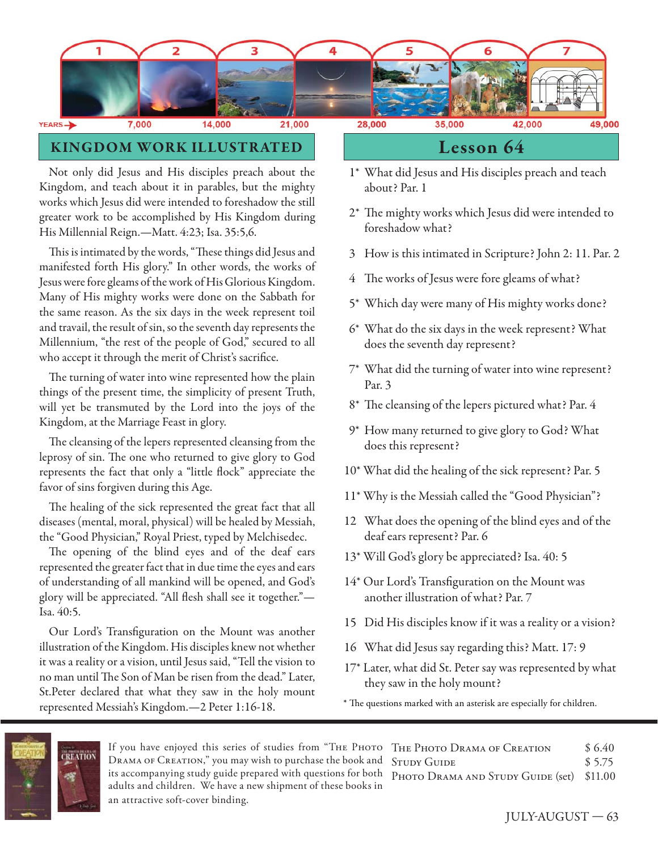

# **KINGDOM WORK ILLUSTRATED Lesson 64**

Not only did Jesus and His disciples preach about the Kingdom, and teach about it in parables, but the mighty works which Jesus did were intended to foreshadow the still greater work to be accomplished by His Kingdom during His Millennial Reign.—Matt. 4:23; Isa. 35:5,6.

This is intimated by the words, "These things did Jesus and manifested forth His glory." In other words, the works of Jesus were fore gleams of the work of His Glorious Kingdom. Many of His mighty works were done on the Sabbath for the same reason. As the six days in the week represent toil and travail, the result of sin, so the seventh day represents the Millennium, "the rest of the people of God," secured to all who accept it through the merit of Christ's sacrifice.

The turning of water into wine represented how the plain things of the present time, the simplicity of present Truth, will yet be transmuted by the Lord into the joys of the Kingdom, at the Marriage Feast in glory.

The cleansing of the lepers represented cleansing from the leprosy of sin. The one who returned to give glory to God represents the fact that only a "little flock" appreciate the favor of sins forgiven during this Age.

The healing of the sick represented the great fact that all diseases (mental, moral, physical) will be healed by Messiah, the "Good Physician," Royal Priest, typed by Melchisedec.

The opening of the blind eyes and of the deaf ears represented the greater fact that in due time the eyes and ears of understanding of all mankind will be opened, and God's glory will be appreciated. "All flesh shall see it together."-Isa. 40:5.

Our Lord's Transfiguration on the Mount was another illustration of the Kingdom. His disciples knew not whether it was a reality or a vision, until Jesus said, "Tell the vision to no man until The Son of Man be risen from the dead." Later, St.Peter declared that what they saw in the holy mount represented Messiah's Kingdom.—2 Peter 1:16-18.

- 1\* What did Jesus and His disciples preach and teach about? Par. 1
- 2\* The mighty works which Jesus did were intended to foreshadow what?
- 3 How is this intimated in Scripture? John 2: 11. Par. 2
- 4 The works of Jesus were fore gleams of what?
- 5\* Which day were many of His mighty works done?
- 6\* What do the six days in the week represent? What does the seventh day represent?
- 7\* What did the turning of water into wine represent? Par. 3
- 8\* The cleansing of the lepers pictured what? Par. 4
- 9\* How many returned to give glory to God? What does this represent?
- 10\* What did the healing of the sick represent? Par. 5
- 11\* Why is the Messiah called the "Good Physician"?
- 12 What does the opening of the blind eyes and of the deaf ears represent? Par. 6
- 13\* Will God's glory be appreciated? Isa. 40: 5
- 14\* Our Lord's Transfiguration on the Mount was another illustration of what? Par. 7
- 15 Did His disciples know if it was a reality or a vision?
- 16 What did Jesus say regarding this? Matt. 17: 9
- 17\* Later, what did St. Peter say was represented by what they saw in the holy mount?
- \* The questions marked with an asterisk are especially for children.



If you have enjoyed this series of studies from "Тне Рното Тне Рното Drama ог Creation \$ 6.40 Drama of Creation," you may wish to purchase the book and STUDY GUIDE \$5.75 its accompanying study guide prepared with questions for both PHOTO DRAMA AND STUDY GUIDE (set) \$11.00 adults and children. We have a new shipment of these books in an attractive soft-cover binding.